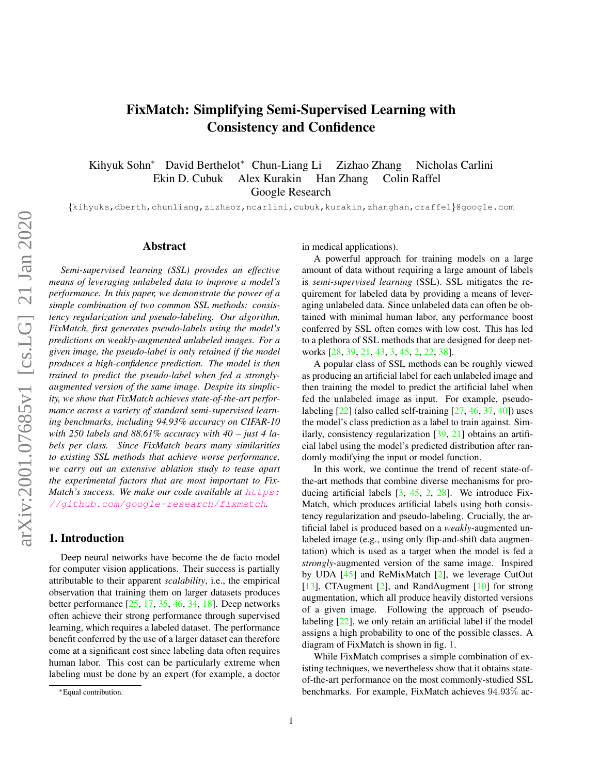# <span id="page-0-0"></span>FixMatch: Simplifying Semi-Supervised Learning with Consistency and Confidence

Kihyuk Sohn<sup>∗</sup> David Berthelot<sup>∗</sup> Chun-Liang Li Zizhao Zhang Nicholas Carlini Ekin D. Cubuk Alex Kurakin Han Zhang Colin Raffel Google Research

{kihyuks,dberth,chunliang,zizhaoz,ncarlini,cubuk,kurakin,zhanghan,craffel}@google.com

## Abstract

*Semi-supervised learning (SSL) provides an effective means of leveraging unlabeled data to improve a model's performance. In this paper, we demonstrate the power of a simple combination of two common SSL methods: consistency regularization and pseudo-labeling. Our algorithm, FixMatch, first generates pseudo-labels using the model's predictions on weakly-augmented unlabeled images. For a given image, the pseudo-label is only retained if the model produces a high-confidence prediction. The model is then trained to predict the pseudo-label when fed a stronglyaugmented version of the same image. Despite its simplicity, we show that FixMatch achieves state-of-the-art performance across a variety of standard semi-supervised learning benchmarks, including 94.93% accuracy on CIFAR-10 with 250 labels and 88.61% accuracy with 40 – just 4 labels per class. Since FixMatch bears many similarities to existing SSL methods that achieve worse performance, we carry out an extensive ablation study to tease apart the experimental factors that are most important to FixMatch's success. We make our code available at [https:](https://github.com/google-research/fixmatch)* [//github.com/google-research/fixmatch](https://github.com/google-research/fixmatch)*.*

# 1. Introduction

Deep neural networks have become the de facto model for computer vision applications. Their success is partially attributable to their apparent *scalability*, i.e., the empirical observation that training them on larger datasets produces better performance [\[25,](#page-8-0) [17,](#page-8-1) [35,](#page-9-0) [46,](#page-9-1) [34,](#page-9-2) [18\]](#page-8-2). Deep networks often achieve their strong performance through supervised learning, which requires a labeled dataset. The performance benefit conferred by the use of a larger dataset can therefore come at a significant cost since labeling data often requires human labor. This cost can be particularly extreme when labeling must be done by an expert (for example, a doctor in medical applications).

A powerful approach for training models on a large amount of data without requiring a large amount of labels is *semi-supervised learning* (SSL). SSL mitigates the requirement for labeled data by providing a means of leveraging unlabeled data. Since unlabeled data can often be obtained with minimal human labor, any performance boost conferred by SSL often comes with low cost. This has led to a plethora of SSL methods that are designed for deep networks [\[28,](#page-9-3) [39,](#page-9-4) [21,](#page-8-3) [43,](#page-9-5) [3,](#page-8-4) [45,](#page-9-6) [2,](#page-8-5) [22,](#page-8-6) [38\]](#page-9-7).

A popular class of SSL methods can be roughly viewed as producing an artificial label for each unlabeled image and then training the model to predict the artificial label when fed the unlabeled image as input. For example, pseudolabeling  $[22]$  (also called self-training  $[27, 46, 37, 40]$  $[27, 46, 37, 40]$  $[27, 46, 37, 40]$  $[27, 46, 37, 40]$  $[27, 46, 37, 40]$  $[27, 46, 37, 40]$  $[27, 46, 37, 40]$ ) uses the model's class prediction as a label to train against. Similarly, consistency regularization [\[39,](#page-9-4) [21\]](#page-8-3) obtains an artificial label using the model's predicted distribution after randomly modifying the input or model function.

In this work, we continue the trend of recent state-ofthe-art methods that combine diverse mechanisms for producing artificial labels [\[3,](#page-8-4) [45,](#page-9-6) [2,](#page-8-5) [28\]](#page-9-3). We introduce Fix-Match, which produces artificial labels using both consistency regularization and pseudo-labeling. Crucially, the artificial label is produced based on a *weakly*-augmented unlabeled image (e.g., using only flip-and-shift data augmentation) which is used as a target when the model is fed a *strongly*-augmented version of the same image. Inspired by UDA [\[45\]](#page-9-6) and ReMixMatch [\[2\]](#page-8-5), we leverage CutOut [\[13\]](#page-8-8), CTAugment [\[2\]](#page-8-5), and RandAugment [\[10\]](#page-8-9) for strong augmentation, which all produce heavily distorted versions of a given image. Following the approach of pseudo-labeling [\[22\]](#page-8-6), we only retain an artificial label if the model assigns a high probability to one of the possible classes. A diagram of FixMatch is shown in fig. [1.](#page-1-0)

While FixMatch comprises a simple combination of existing techniques, we nevertheless show that it obtains stateof-the-art performance on the most commonly-studied SSL benchmarks. For example, FixMatch achieves 94.93% ac-

<sup>∗</sup>Equal contribution.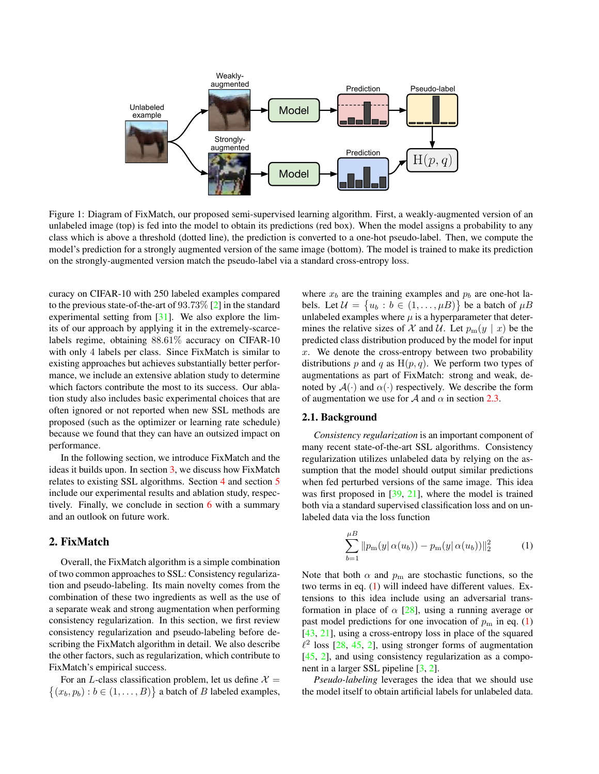<span id="page-1-3"></span><span id="page-1-0"></span>

Figure 1: Diagram of FixMatch, our proposed semi-supervised learning algorithm. First, a weakly-augmented version of an unlabeled image (top) is fed into the model to obtain its predictions (red box). When the model assigns a probability to any class which is above a threshold (dotted line), the prediction is converted to a one-hot pseudo-label. Then, we compute the model's prediction for a strongly augmented version of the same image (bottom). The model is trained to make its prediction on the strongly-augmented version match the pseudo-label via a standard cross-entropy loss.

curacy on CIFAR-10 with 250 labeled examples compared to the previous state-of-the-art of 93.73% [\[2\]](#page-8-5) in the standard experimental setting from [\[31\]](#page-9-10). We also explore the limits of our approach by applying it in the extremely-scarcelabels regime, obtaining 88.61% accuracy on CIFAR-10 with only 4 labels per class. Since FixMatch is similar to existing approaches but achieves substantially better performance, we include an extensive ablation study to determine which factors contribute the most to its success. Our ablation study also includes basic experimental choices that are often ignored or not reported when new SSL methods are proposed (such as the optimizer or learning rate schedule) because we found that they can have an outsized impact on performance.

In the following section, we introduce FixMatch and the ideas it builds upon. In section [3,](#page-3-0) we discuss how FixMatch relates to existing SSL algorithms. Section [4](#page-4-0) and section [5](#page-6-0) include our experimental results and ablation study, respectively. Finally, we conclude in section [6](#page-7-0) with a summary and an outlook on future work.

# <span id="page-1-2"></span>2. FixMatch

Overall, the FixMatch algorithm is a simple combination of two common approaches to SSL: Consistency regularization and pseudo-labeling. Its main novelty comes from the combination of these two ingredients as well as the use of a separate weak and strong augmentation when performing consistency regularization. In this section, we first review consistency regularization and pseudo-labeling before describing the FixMatch algorithm in detail. We also describe the other factors, such as regularization, which contribute to FixMatch's empirical success.

For an L-class classification problem, let us define  $\mathcal{X} =$  $\{(x_b, p_b) : b \in (1, \ldots, B)\}\$ a batch of *B* labeled examples, where  $x_b$  are the training examples and  $p_b$  are one-hot labels. Let  $\mathcal{U} = \{u_b : b \in (1, \dots, \mu B)\}\$  be a batch of  $\mu B$ unlabeled examples where  $\mu$  is a hyperparameter that determines the relative sizes of X and U. Let  $p_m(y \mid x)$  be the predicted class distribution produced by the model for input  $x$ . We denote the cross-entropy between two probability distributions p and q as  $H(p, q)$ . We perform two types of augmentations as part of FixMatch: strong and weak, denoted by  $\mathcal{A}(\cdot)$  and  $\alpha(\cdot)$  respectively. We describe the form of augmentation we use for A and  $\alpha$  in section [2.3.](#page-2-0)

## 2.1. Background

*Consistency regularization* is an important component of many recent state-of-the-art SSL algorithms. Consistency regularization utilizes unlabeled data by relying on the assumption that the model should output similar predictions when fed perturbed versions of the same image. This idea was first proposed in [\[39,](#page-9-4) [21\]](#page-8-3), where the model is trained both via a standard supervised classification loss and on unlabeled data via the loss function

<span id="page-1-1"></span>
$$
\sum_{b=1}^{\mu} \|p_m(y(\alpha(u_b)) - p_m(y(\alpha(u_b))\|_2^2)
$$
 (1)

Note that both  $\alpha$  and  $p_m$  are stochastic functions, so the two terms in eq. [\(1\)](#page-1-1) will indeed have different values. Extensions to this idea include using an adversarial transformation in place of  $\alpha$  [\[28\]](#page-9-3), using a running average or past model predictions for one invocation of  $p<sub>m</sub>$  in eq. [\(1\)](#page-1-1) [\[43,](#page-9-5) [21\]](#page-8-3), using a cross-entropy loss in place of the squared  $\ell^2$  loss [\[28,](#page-9-3) [45,](#page-9-6) [2\]](#page-8-5), using stronger forms of augmentation [\[45,](#page-9-6) [2\]](#page-8-5), and using consistency regularization as a component in a larger SSL pipeline [\[3,](#page-8-4) [2\]](#page-8-5).

*Pseudo-labeling* leverages the idea that we should use the model itself to obtain artificial labels for unlabeled data.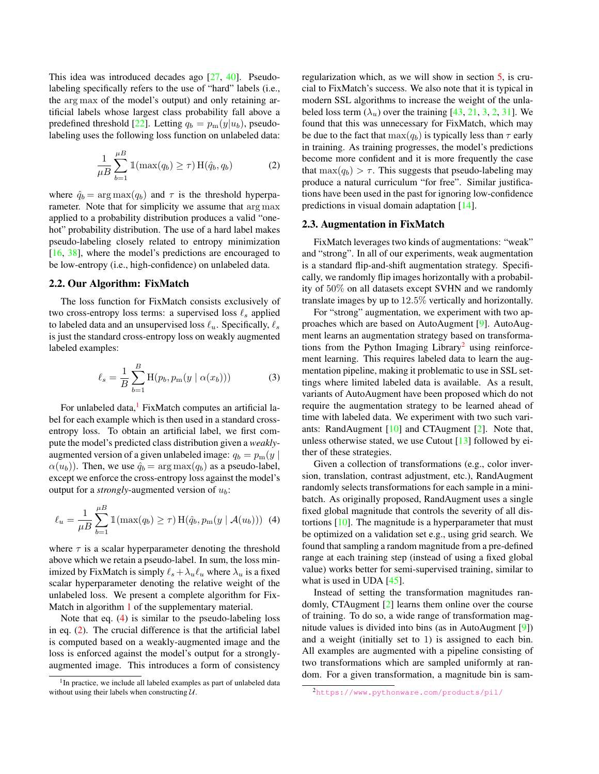<span id="page-2-6"></span>This idea was introduced decades ago [\[27,](#page-8-7) [40\]](#page-9-9). Pseudolabeling specifically refers to the use of "hard" labels (i.e., the arg max of the model's output) and only retaining artificial labels whose largest class probability fall above a predefined threshold [\[22\]](#page-8-6). Letting  $q_b = p_m(y|u_b)$ , pseudolabeling uses the following loss function on unlabeled data:

<span id="page-2-3"></span>
$$
\frac{1}{\mu B} \sum_{b=1}^{\mu B} \mathbb{1}(\max(q_b) \ge \tau) \operatorname{H}(\hat{q}_b, q_b)
$$
 (2)

where  $\hat{q}_b = \arg \max(q_b)$  and  $\tau$  is the threshold hyperparameter. Note that for simplicity we assume that arg max applied to a probability distribution produces a valid "onehot" probability distribution. The use of a hard label makes pseudo-labeling closely related to entropy minimization [\[16,](#page-8-10) [38\]](#page-9-7), where the model's predictions are encouraged to be low-entropy (i.e., high-confidence) on unlabeled data.

## <span id="page-2-5"></span>2.2. Our Algorithm: FixMatch

The loss function for FixMatch consists exclusively of two cross-entropy loss terms: a supervised loss  $\ell_s$  applied to labeled data and an unsupervised loss  $\ell_u$ . Specifically,  $\ell_s$ is just the standard cross-entropy loss on weakly augmented labeled examples:

$$
\ell_s = \frac{1}{B} \sum_{b=1}^{B} \mathcal{H}(p_b, p_m(y \mid \alpha(x_b))) \tag{3}
$$

For unlabeled data, $<sup>1</sup>$  $<sup>1</sup>$  $<sup>1</sup>$  FixMatch computes an artificial la-</sup> bel for each example which is then used in a standard crossentropy loss. To obtain an artificial label, we first compute the model's predicted class distribution given a *weakly*augmented version of a given unlabeled image:  $q_b = p_m(y)$  $\alpha(u_b)$ ). Then, we use  $\hat{q}_b = \arg \max(q_b)$  as a pseudo-label, except we enforce the cross-entropy loss against the model's output for a *strongly*-augmented version of  $u<sub>b</sub>$ :

<span id="page-2-2"></span>
$$
\ell_u = \frac{1}{\mu B} \sum_{b=1}^{\mu B} \mathbb{1}(\max(q_b) \ge \tau) \operatorname{H}(\hat{q}_b, p_m(y \mid \mathcal{A}(u_b))) \tag{4}
$$

where  $\tau$  is a scalar hyperparameter denoting the threshold above which we retain a pseudo-label. In sum, the loss minimized by FixMatch is simply  $\ell_s + \lambda_u \ell_u$  where  $\lambda_u$  is a fixed scalar hyperparameter denoting the relative weight of the unlabeled loss. We present a complete algorithm for Fix-Match in algorithm [1](#page-11-0) of the supplementary material.

Note that eq. [\(4\)](#page-2-2) is similar to the pseudo-labeling loss in eq. [\(2\)](#page-2-3). The crucial difference is that the artificial label is computed based on a weakly-augmented image and the loss is enforced against the model's output for a stronglyaugmented image. This introduces a form of consistency

regularization which, as we will show in section [5,](#page-6-0) is crucial to FixMatch's success. We also note that it is typical in modern SSL algorithms to increase the weight of the unlabeled loss term  $(\lambda_u)$  over the training [\[43,](#page-9-5) [21,](#page-8-3) [3,](#page-8-4) [2,](#page-8-5) [31\]](#page-9-10). We found that this was unnecessary for FixMatch, which may be due to the fact that  $\max(q_b)$  is typically less than  $\tau$  early in training. As training progresses, the model's predictions become more confident and it is more frequently the case that  $\max(q_b) > \tau$ . This suggests that pseudo-labeling may produce a natural curriculum "for free". Similar justifications have been used in the past for ignoring low-confidence predictions in visual domain adaptation [\[14\]](#page-8-11).

## <span id="page-2-0"></span>2.3. Augmentation in FixMatch

FixMatch leverages two kinds of augmentations: "weak" and "strong". In all of our experiments, weak augmentation is a standard flip-and-shift augmentation strategy. Specifically, we randomly flip images horizontally with a probability of 50% on all datasets except SVHN and we randomly translate images by up to 12.5% vertically and horizontally.

For "strong" augmentation, we experiment with two approaches which are based on AutoAugment [\[9\]](#page-8-12). AutoAugment learns an augmentation strategy based on transforma-tions from the Python Imaging Library<sup>[2](#page-2-4)</sup> using reinforcement learning. This requires labeled data to learn the augmentation pipeline, making it problematic to use in SSL settings where limited labeled data is available. As a result, variants of AutoAugment have been proposed which do not require the augmentation strategy to be learned ahead of time with labeled data. We experiment with two such variants: RandAugment [\[10\]](#page-8-9) and CTAugment [\[2\]](#page-8-5). Note that, unless otherwise stated, we use Cutout [\[13\]](#page-8-8) followed by either of these strategies.

Given a collection of transformations (e.g., color inversion, translation, contrast adjustment, etc.), RandAugment randomly selects transformations for each sample in a minibatch. As originally proposed, RandAugment uses a single fixed global magnitude that controls the severity of all distortions [\[10\]](#page-8-9). The magnitude is a hyperparameter that must be optimized on a validation set e.g., using grid search. We found that sampling a random magnitude from a pre-defined range at each training step (instead of using a fixed global value) works better for semi-supervised training, similar to what is used in UDA [\[45\]](#page-9-6).

Instead of setting the transformation magnitudes randomly, CTAugment [\[2\]](#page-8-5) learns them online over the course of training. To do so, a wide range of transformation magnitude values is divided into bins (as in AutoAugment [\[9\]](#page-8-12)) and a weight (initially set to 1) is assigned to each bin. All examples are augmented with a pipeline consisting of two transformations which are sampled uniformly at random. For a given transformation, a magnitude bin is sam-

<span id="page-2-1"></span><sup>&</sup>lt;sup>1</sup>In practice, we include all labeled examples as part of unlabeled data without using their labels when constructing  $U$ .

<span id="page-2-4"></span><sup>2</sup><https://www.pythonware.com/products/pil/>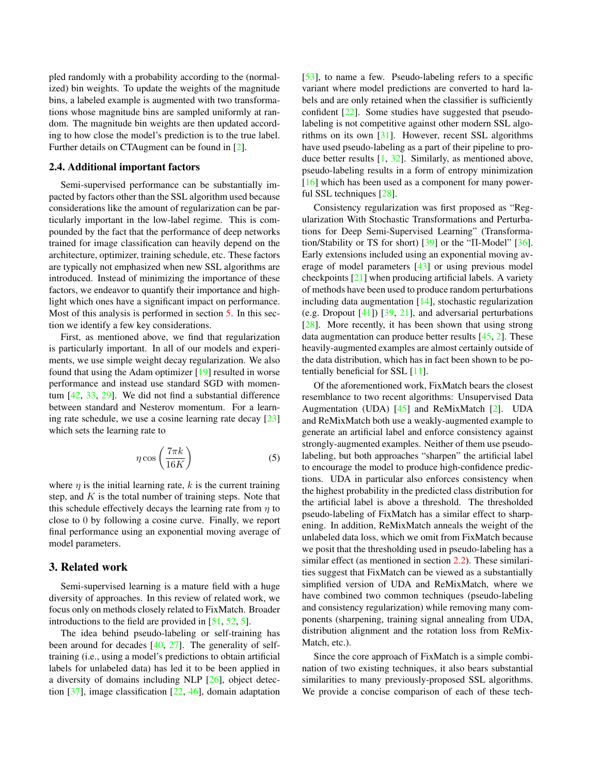<span id="page-3-1"></span>pled randomly with a probability according to the (normalized) bin weights. To update the weights of the magnitude bins, a labeled example is augmented with two transformations whose magnitude bins are sampled uniformly at random. The magnitude bin weights are then updated according to how close the model's prediction is to the true label. Further details on CTAugment can be found in [\[2\]](#page-8-5).

#### 2.4. Additional important factors

Semi-supervised performance can be substantially impacted by factors other than the SSL algorithm used because considerations like the amount of regularization can be particularly important in the low-label regime. This is compounded by the fact that the performance of deep networks trained for image classification can heavily depend on the architecture, optimizer, training schedule, etc. These factors are typically not emphasized when new SSL algorithms are introduced. Instead of minimizing the importance of these factors, we endeavor to quantify their importance and highlight which ones have a significant impact on performance. Most of this analysis is performed in section [5.](#page-6-0) In this section we identify a few key considerations.

First, as mentioned above, we find that regularization is particularly important. In all of our models and experiments, we use simple weight decay regularization. We also found that using the Adam optimizer [\[19\]](#page-8-13) resulted in worse performance and instead use standard SGD with momentum [\[42,](#page-9-11) [33,](#page-9-12) [29\]](#page-9-13). We did not find a substantial difference between standard and Nesterov momentum. For a learning rate schedule, we use a cosine learning rate decay [\[23\]](#page-8-14) which sets the learning rate to

$$
\eta \cos\left(\frac{7\pi k}{16K}\right) \tag{5}
$$

where  $\eta$  is the initial learning rate, k is the current training step, and  $K$  is the total number of training steps. Note that this schedule effectively decays the learning rate from  $\eta$  to close to 0 by following a cosine curve. Finally, we report final performance using an exponential moving average of model parameters.

#### <span id="page-3-0"></span>3. Related work

Semi-supervised learning is a mature field with a huge diversity of approaches. In this review of related work, we focus only on methods closely related to FixMatch. Broader introductions to the field are provided in [\[51,](#page-9-14) [52,](#page-9-15) [5\]](#page-8-15).

The idea behind pseudo-labeling or self-training has been around for decades [\[40,](#page-9-9) [27\]](#page-8-7). The generality of selftraining (i.e., using a model's predictions to obtain artificial labels for unlabeled data) has led it to be been applied in a diversity of domains including NLP [\[26\]](#page-8-16), object detection [\[37\]](#page-9-8), image classification [\[22,](#page-8-6) [46\]](#page-9-1), domain adaptation [\[53\]](#page-9-16), to name a few. Pseudo-labeling refers to a specific variant where model predictions are converted to hard labels and are only retained when the classifier is sufficiently confident [\[22\]](#page-8-6). Some studies have suggested that pseudolabeling is not competitive against other modern SSL algorithms on its own [\[31\]](#page-9-10). However, recent SSL algorithms have used pseudo-labeling as a part of their pipeline to produce better results  $[1, 32]$  $[1, 32]$  $[1, 32]$ . Similarly, as mentioned above, pseudo-labeling results in a form of entropy minimization [\[16\]](#page-8-10) which has been used as a component for many powerful SSL techniques [\[28\]](#page-9-3).

Consistency regularization was first proposed as "Regularization With Stochastic Transformations and Perturbations for Deep Semi-Supervised Learning" (Transformation/Stability or TS for short) [\[39\]](#page-9-4) or the "Π-Model" [\[36\]](#page-9-18). Early extensions included using an exponential moving average of model parameters [\[43\]](#page-9-5) or using previous model checkpoints [\[21\]](#page-8-3) when producing artificial labels. A variety of methods have been used to produce random perturbations including data augmentation  $[14]$ , stochastic regularization (e.g. Dropout [\[41\]](#page-9-19)) [\[39,](#page-9-4) [21\]](#page-8-3), and adversarial perturbations [\[28\]](#page-9-3). More recently, it has been shown that using strong data augmentation can produce better results [\[45,](#page-9-6) [2\]](#page-8-5). These heavily-augmented examples are almost certainly outside of the data distribution, which has in fact been shown to be potentially beneficial for SSL [\[11\]](#page-8-18).

Of the aforementioned work, FixMatch bears the closest resemblance to two recent algorithms: Unsupervised Data Augmentation (UDA) [\[45\]](#page-9-6) and ReMixMatch [\[2\]](#page-8-5). UDA and ReMixMatch both use a weakly-augmented example to generate an artificial label and enforce consistency against strongly-augmented examples. Neither of them use pseudolabeling, but both approaches "sharpen" the artificial label to encourage the model to produce high-confidence predictions. UDA in particular also enforces consistency when the highest probability in the predicted class distribution for the artificial label is above a threshold. The thresholded pseudo-labeling of FixMatch has a similar effect to sharpening. In addition, ReMixMatch anneals the weight of the unlabeled data loss, which we omit from FixMatch because we posit that the thresholding used in pseudo-labeling has a similar effect (as mentioned in section [2.2\)](#page-2-5). These similarities suggest that FixMatch can be viewed as a substantially simplified version of UDA and ReMixMatch, where we have combined two common techniques (pseudo-labeling and consistency regularization) while removing many components (sharpening, training signal annealing from UDA, distribution alignment and the rotation loss from ReMix-Match, etc.).

Since the core approach of FixMatch is a simple combination of two existing techniques, it also bears substantial similarities to many previously-proposed SSL algorithms. We provide a concise comparison of each of these tech-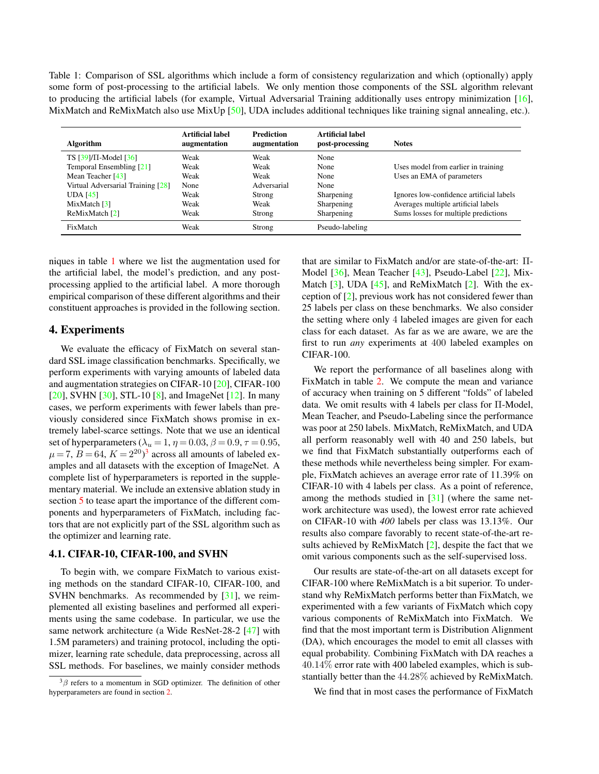<span id="page-4-3"></span><span id="page-4-1"></span>Table 1: Comparison of SSL algorithms which include a form of consistency regularization and which (optionally) apply some form of post-processing to the artificial labels. We only mention those components of the SSL algorithm relevant to producing the artificial labels (for example, Virtual Adversarial Training additionally uses entropy minimization [\[16\]](#page-8-10), MixMatch and ReMixMatch also use MixUp [\[50\]](#page-9-20), UDA includes additional techniques like training signal annealing, etc.).

| <b>Algorithm</b>                  | Artificial label<br>augmentation | <b>Prediction</b><br>augmentation | Artificial label<br>post-processing | <b>Notes</b>                             |
|-----------------------------------|----------------------------------|-----------------------------------|-------------------------------------|------------------------------------------|
| TS $[39]/\Pi$ -Model $[36]$       | Weak                             | Weak                              | None                                |                                          |
| Temporal Ensembling [21]          | Weak                             | Weak                              | None                                | Uses model from earlier in training      |
| Mean Teacher $[43]$               | Weak                             | Weak                              | None                                | Uses an EMA of parameters                |
| Virtual Adversarial Training [28] | None                             | Adversarial                       | None                                |                                          |
| <b>UDA</b> [45]                   | Weak                             | Strong                            | Sharpening                          | Ignores low-confidence artificial labels |
| MixMatch $\lceil 3 \rceil$        | Weak                             | Weak                              | Sharpening                          | Averages multiple artificial labels      |
| ReMixMatch [2]                    | Weak                             | Strong                            | Sharpening                          | Sums losses for multiple predictions     |
| FixMatch                          | Weak                             | Strong                            | Pseudo-labeling                     |                                          |

niques in table [1](#page-4-1) where we list the augmentation used for the artificial label, the model's prediction, and any postprocessing applied to the artificial label. A more thorough empirical comparison of these different algorithms and their constituent approaches is provided in the following section.

#### <span id="page-4-0"></span>4. Experiments

We evaluate the efficacy of FixMatch on several standard SSL image classification benchmarks. Specifically, we perform experiments with varying amounts of labeled data and augmentation strategies on CIFAR-10 [\[20\]](#page-8-19), CIFAR-100 [\[20\]](#page-8-19), SVHN  $[30]$ , STL-10  $[8]$ , and ImageNet  $[12]$ . In many cases, we perform experiments with fewer labels than previously considered since FixMatch shows promise in extremely label-scarce settings. Note that we use an identical set of hyperparameters ( $\lambda_u = 1$ ,  $\eta = 0.03$ ,  $\beta = 0.9$ ,  $\tau = 0.95$ ,  $\mu$  = 7,  $B$  = 64,  $K = 2^{20}$ )<sup>[3](#page-4-2)</sup> across all amounts of labeled examples and all datasets with the exception of ImageNet. A complete list of hyperparameters is reported in the supplementary material. We include an extensive ablation study in section [5](#page-6-0) to tease apart the importance of the different components and hyperparameters of FixMatch, including factors that are not explicitly part of the SSL algorithm such as the optimizer and learning rate.

#### 4.1. CIFAR-10, CIFAR-100, and SVHN

To begin with, we compare FixMatch to various existing methods on the standard CIFAR-10, CIFAR-100, and SVHN benchmarks. As recommended by [\[31\]](#page-9-10), we reimplemented all existing baselines and performed all experiments using the same codebase. In particular, we use the same network architecture (a Wide ResNet-28-2 [\[47\]](#page-9-22) with 1.5M parameters) and training protocol, including the optimizer, learning rate schedule, data preprocessing, across all SSL methods. For baselines, we mainly consider methods

that are similar to FixMatch and/or are state-of-the-art: Π-Model [\[36\]](#page-9-18), Mean Teacher [\[43\]](#page-9-5), Pseudo-Label [\[22\]](#page-8-6), Mix-Match  $[3]$ , UDA  $[45]$ , and ReMixMatch  $[2]$ . With the exception of [\[2\]](#page-8-5), previous work has not considered fewer than 25 labels per class on these benchmarks. We also consider the setting where only 4 labeled images are given for each class for each dataset. As far as we are aware, we are the first to run *any* experiments at 400 labeled examples on CIFAR-100.

We report the performance of all baselines along with FixMatch in table [2.](#page-5-0) We compute the mean and variance of accuracy when training on 5 different "folds" of labeled data. We omit results with 4 labels per class for Π-Model, Mean Teacher, and Pseudo-Labeling since the performance was poor at 250 labels. MixMatch, ReMixMatch, and UDA all perform reasonably well with 40 and 250 labels, but we find that FixMatch substantially outperforms each of these methods while nevertheless being simpler. For example, FixMatch achieves an average error rate of 11.39% on CIFAR-10 with 4 labels per class. As a point of reference, among the methods studied in [\[31\]](#page-9-10) (where the same network architecture was used), the lowest error rate achieved on CIFAR-10 with *400* labels per class was 13.13%. Our results also compare favorably to recent state-of-the-art results achieved by ReMixMatch [\[2\]](#page-8-5), despite the fact that we omit various components such as the self-supervised loss.

Our results are state-of-the-art on all datasets except for CIFAR-100 where ReMixMatch is a bit superior. To understand why ReMixMatch performs better than FixMatch, we experimented with a few variants of FixMatch which copy various components of ReMixMatch into FixMatch. We find that the most important term is Distribution Alignment (DA), which encourages the model to emit all classes with equal probability. Combining FixMatch with DA reaches a 40.14% error rate with 400 labeled examples, which is substantially better than the 44.28% achieved by ReMixMatch.

We find that in most cases the performance of FixMatch

<span id="page-4-2"></span> $3\beta$  refers to a momentum in SGD optimizer. The definition of other hyperparameters are found in section [2.](#page-1-2)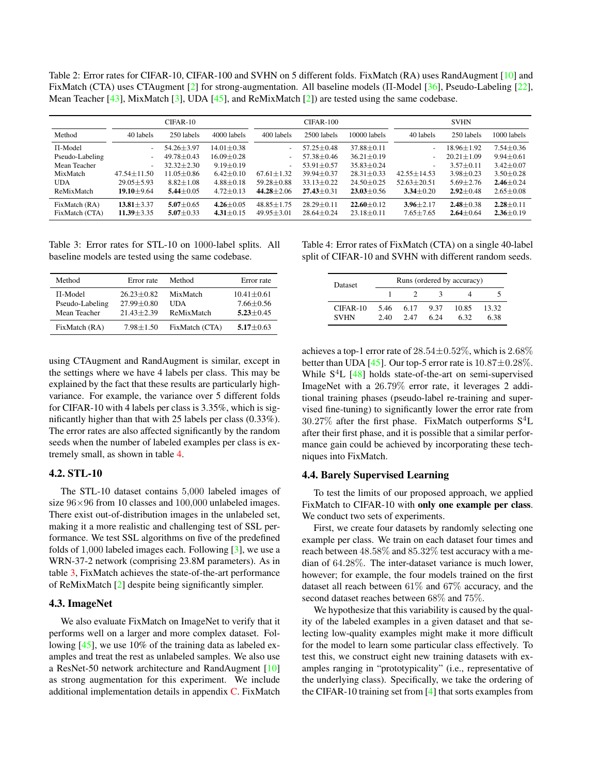<span id="page-5-3"></span><span id="page-5-0"></span>Table 2: Error rates for CIFAR-10, CIFAR-100 and SVHN on 5 different folds. FixMatch (RA) uses RandAugment [\[10\]](#page-8-9) and FixMatch (CTA) uses CTAugment [\[2\]](#page-8-5) for strong-augmentation. All baseline models (Π-Model [\[36\]](#page-9-18), Pseudo-Labeling [\[22\]](#page-8-6), Mean Teacher [\[43\]](#page-9-5), MixMatch [\[3\]](#page-8-4), UDA [\[45\]](#page-9-6), and ReMixMatch [\[2\]](#page-8-5)) are tested using the same codebase.

|                 | $CIFAR-10$               |                  |                  | $CIFAR-100$              |                  |                  | <b>SVHN</b>              |                  |                 |
|-----------------|--------------------------|------------------|------------------|--------------------------|------------------|------------------|--------------------------|------------------|-----------------|
| Method          | 40 labels                | 250 labels       | 4000 labels      | 400 labels               | 2500 labels      | 10000 labels     | 40 labels                | 250 labels       | 1000 labels     |
| $\Pi$ -Model    |                          | $54.26 + 3.97$   | $14.01 \pm 0.38$ | $\overline{\phantom{a}}$ | $57.25 \pm 0.48$ | $37.88 \pm 0.11$ | $\overline{\phantom{a}}$ | $18.96 \pm 1.92$ | $7.54 \pm 0.36$ |
| Pseudo-Labeling | $\overline{\phantom{a}}$ | $49.78 \pm 0.43$ | $16.09 \pm 0.28$ | $\overline{\phantom{a}}$ | $57.38 \pm 0.46$ | $36.21 \pm 0.19$ | ٠                        | $20.21 \pm 1.09$ | $9.94 \pm 0.61$ |
| Mean Teacher    |                          | $32.32 + 2.30$   | $9.19 \pm 0.19$  | $\tilde{\phantom{a}}$    | $53.91 \pm 0.57$ | $35.83 \pm 0.24$ | $\overline{\phantom{a}}$ | $3.57 + 0.11$    | $3.42 + 0.07$   |
| MixMatch        | $47.54 \pm 11.50$        | $11.05 \pm 0.86$ | $6.42 \pm 0.10$  | $67.61 \pm 1.32$         | $39.94 \pm 0.37$ | $28.31 \pm 0.33$ | $42.55 \pm 14.53$        | $3.98 \pm 0.23$  | $3.50 \pm 0.28$ |
| <b>UDA</b>      | $29.05 + 5.93$           | $8.82 \pm 1.08$  | $4.88 \pm 0.18$  | $59.28 + 0.88$           | $33.13 \pm 0.22$ | $24.50 \pm 0.25$ | $52.63 + 20.51$          | $5.69 \pm 2.76$  | $2.46 \pm 0.24$ |
| ReMixMatch      | $19.10 \pm 9.64$         | $5.44 \pm 0.05$  | $4.72 \pm 0.13$  | $44.28 + 2.06$           | $27.43 \pm 0.31$ | $23.03 + 0.56$   | $3.34 \pm 0.20$          | $2.92 \pm 0.48$  | $2.65 \pm 0.08$ |
| FixMatch (RA)   | $13.81 \pm 3.37$         | $5.07 \pm 0.65$  | $4.26 \pm 0.05$  | $48.85 + 1.75$           | $28.29 \pm 0.11$ | $22.60 + 0.12$   | $3.96 \pm 2.17$          | $2.48 \pm 0.38$  | $2.28 \pm 0.11$ |
| FixMatch (CTA)  | $11.39 \pm 3.35$         | $5.07 \pm 0.33$  | $4.31 \pm 0.15$  | $49.95 \pm 3.01$         | $28.64 \pm 0.24$ | $23.18 \pm 0.11$ | $7.65 \pm 7.65$          | $2.64 \pm 0.64$  | $2.36 \pm 0.19$ |

<span id="page-5-2"></span>Table 3: Error rates for STL-10 on 1000-label splits. All baseline models are tested using the same codebase.

| Method                                          | Error rate                                           | Method                               | Error rate                                         |
|-------------------------------------------------|------------------------------------------------------|--------------------------------------|----------------------------------------------------|
| $\Pi$ -Model<br>Pseudo-Labeling<br>Mean Teacher | $26.23 + 0.82$<br>$27.99 \pm 0.80$<br>$21.43 + 2.39$ | MixMatch<br><b>UDA</b><br>ReMixMatch | $10.41 \pm 0.61$<br>$7.66 + 0.56$<br>$5.23 + 0.45$ |
| FixMatch (RA)                                   | $7.98 \pm 1.50$                                      | FixMatch (CTA)                       | $5.17 \pm 0.63$                                    |

using CTAugment and RandAugment is similar, except in the settings where we have 4 labels per class. This may be explained by the fact that these results are particularly highvariance. For example, the variance over 5 different folds for CIFAR-10 with 4 labels per class is 3.35%, which is significantly higher than that with 25 labels per class (0.33%). The error rates are also affected significantly by the random seeds when the number of labeled examples per class is extremely small, as shown in table [4.](#page-5-1)

# 4.2. STL-10

The STL-10 dataset contains 5,000 labeled images of size  $96\times96$  from 10 classes and 100,000 unlabeled images. There exist out-of-distribution images in the unlabeled set, making it a more realistic and challenging test of SSL performance. We test SSL algorithms on five of the predefined folds of 1,000 labeled images each. Following [\[3\]](#page-8-4), we use a WRN-37-2 network (comprising 23.8M parameters). As in table [3,](#page-5-2) FixMatch achieves the state-of-the-art performance of ReMixMatch [\[2\]](#page-8-5) despite being significantly simpler.

#### <span id="page-5-4"></span>4.3. ImageNet

We also evaluate FixMatch on ImageNet to verify that it performs well on a larger and more complex dataset. Following [\[45\]](#page-9-6), we use 10% of the training data as labeled examples and treat the rest as unlabeled samples. We also use a ResNet-50 network architecture and RandAugment [\[10\]](#page-8-9) as strong augmentation for this experiment. We include additional implementation details in appendix [C.](#page-11-1) FixMatch

<span id="page-5-1"></span>Table 4: Error rates of FixMatch (CTA) on a single 40-label split of CIFAR-10 and SVHN with different random seeds.

| <b>Dataset</b>            | Runs (ordered by accuracy) |             |              |               |               |  |  |
|---------------------------|----------------------------|-------------|--------------|---------------|---------------|--|--|
|                           |                            |             |              |               |               |  |  |
| $CIFAR-10$<br><b>SVHN</b> | 5.46<br>2.40               | 6.17<br>247 | 9.37<br>6.24 | 10.85<br>6.32 | 13.32<br>6.38 |  |  |

achieves a top-1 error rate of  $28.54\pm0.52\%$ , which is  $2.68\%$ better than UDA [\[45\]](#page-9-6). Our top-5 error rate is  $10.87 \pm 0.28\%$ . While  $S<sup>4</sup>L$  [\[48\]](#page-9-23) holds state-of-the-art on semi-supervised ImageNet with a 26.79% error rate, it leverages 2 additional training phases (pseudo-label re-training and supervised fine-tuning) to significantly lower the error rate from  $30.27\%$  after the first phase. FixMatch outperforms  $S<sup>4</sup>L$ after their first phase, and it is possible that a similar performance gain could be achieved by incorporating these techniques into FixMatch.

#### 4.4. Barely Supervised Learning

To test the limits of our proposed approach, we applied FixMatch to CIFAR-10 with only one example per class. We conduct two sets of experiments.

First, we create four datasets by randomly selecting one example per class. We train on each dataset four times and reach between 48.58% and 85.32% test accuracy with a median of 64.28%. The inter-dataset variance is much lower, however; for example, the four models trained on the first dataset all reach between 61% and 67% accuracy, and the second dataset reaches between 68% and 75%.

We hypothesize that this variability is caused by the quality of the labeled examples in a given dataset and that selecting low-quality examples might make it more difficult for the model to learn some particular class effectively. To test this, we construct eight new training datasets with examples ranging in "prototypicality" (i.e., representative of the underlying class). Specifically, we take the ordering of the CIFAR-10 training set from [\[4\]](#page-8-22) that sorts examples from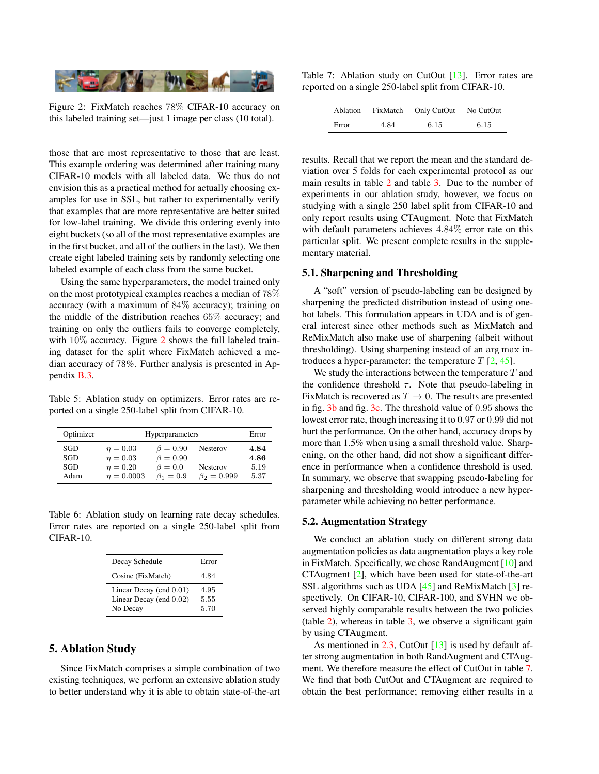<span id="page-6-4"></span><span id="page-6-1"></span>

Figure 2: FixMatch reaches 78% CIFAR-10 accuracy on this labeled training set—just 1 image per class (10 total).

those that are most representative to those that are least. This example ordering was determined after training many CIFAR-10 models with all labeled data. We thus do not envision this as a practical method for actually choosing examples for use in SSL, but rather to experimentally verify that examples that are more representative are better suited for low-label training. We divide this ordering evenly into eight buckets (so all of the most representative examples are in the first bucket, and all of the outliers in the last). We then create eight labeled training sets by randomly selecting one labeled example of each class from the same bucket.

Using the same hyperparameters, the model trained only on the most prototypical examples reaches a median of 78% accuracy (with a maximum of 84% accuracy); training on the middle of the distribution reaches 65% accuracy; and training on only the outliers fails to converge completely, with  $10\%$  accuracy. Figure [2](#page-6-1) shows the full labeled training dataset for the split where FixMatch achieved a median accuracy of 78%. Further analysis is presented in Appendix [B.3.](#page-10-0)

<span id="page-6-3"></span>Table 5: Ablation study on optimizers. Error rates are reported on a single 250-label split from CIFAR-10.

| Optimizer | Hyperparameters | Error          |                   |      |
|-----------|-----------------|----------------|-------------------|------|
| SGD       | $\eta = 0.03$   | $\beta = 0.90$ | <b>Nesterov</b>   | 4.84 |
| SGD       | $n = 0.03$      | $\beta = 0.90$ |                   | 4.86 |
| SGD       | $n = 0.20$      | $\beta = 0.0$  | <b>Nesterov</b>   | 5.19 |
| Adam      | $n = 0.0003$    | $\beta_1=0.9$  | $\beta_2 = 0.999$ | 5.37 |

Table 6: Ablation study on learning rate decay schedules. Error rates are reported on a single 250-label split from CIFAR-10.

| Decay Schedule                                                 | Error                |
|----------------------------------------------------------------|----------------------|
| Cosine (FixMatch)                                              | 4.84                 |
| Linear Decay (end 0.01)<br>Linear Decay (end 0.02)<br>No Decay | 4.95<br>5.55<br>5.70 |

# <span id="page-6-0"></span>5. Ablation Study

Since FixMatch comprises a simple combination of two existing techniques, we perform an extensive ablation study to better understand why it is able to obtain state-of-the-art

<span id="page-6-2"></span>Table 7: Ablation study on CutOut [\[13\]](#page-8-8). Error rates are reported on a single 250-label split from CIFAR-10.

| Ablation | FixMatch | Only CutOut | No CutOut |
|----------|----------|-------------|-----------|
| Error    | 4.84     | 6.15        | 6.15      |

results. Recall that we report the mean and the standard deviation over 5 folds for each experimental protocol as our main results in table [2](#page-5-0) and table [3.](#page-5-2) Due to the number of experiments in our ablation study, however, we focus on studying with a single 250 label split from CIFAR-10 and only report results using CTAugment. Note that FixMatch with default parameters achieves 4.84% error rate on this particular split. We present complete results in the supplementary material.

## <span id="page-6-5"></span>5.1. Sharpening and Thresholding

A "soft" version of pseudo-labeling can be designed by sharpening the predicted distribution instead of using onehot labels. This formulation appears in UDA and is of general interest since other methods such as MixMatch and ReMixMatch also make use of sharpening (albeit without thresholding). Using sharpening instead of an arg max introduces a hyper-parameter: the temperature  $T$  [\[2,](#page-8-5) [45\]](#page-9-6).

We study the interactions between the temperature  $T$  and the confidence threshold  $\tau$ . Note that pseudo-labeling in FixMatch is recovered as  $T \to 0$ . The results are presented in fig. [3b](#page-7-1) and fig. [3c.](#page-7-1) The threshold value of 0.95 shows the lowest error rate, though increasing it to 0.97 or 0.99 did not hurt the performance. On the other hand, accuracy drops by more than 1.5% when using a small threshold value. Sharpening, on the other hand, did not show a significant difference in performance when a confidence threshold is used. In summary, we observe that swapping pseudo-labeling for sharpening and thresholding would introduce a new hyperparameter while achieving no better performance.

#### 5.2. Augmentation Strategy

We conduct an ablation study on different strong data augmentation policies as data augmentation plays a key role in FixMatch. Specifically, we chose RandAugment [\[10\]](#page-8-9) and CTAugment [\[2\]](#page-8-5), which have been used for state-of-the-art SSL algorithms such as UDA [\[45\]](#page-9-6) and ReMixMatch [\[3\]](#page-8-4) respectively. On CIFAR-10, CIFAR-100, and SVHN we observed highly comparable results between the two policies (table [2\)](#page-5-0), whereas in table [3,](#page-5-2) we observe a significant gain by using CTAugment.

As mentioned in [2.3,](#page-2-0) CutOut [\[13\]](#page-8-8) is used by default after strong augmentation in both RandAugment and CTAugment. We therefore measure the effect of CutOut in table [7.](#page-6-2) We find that both CutOut and CTAugment are required to obtain the best performance; removing either results in a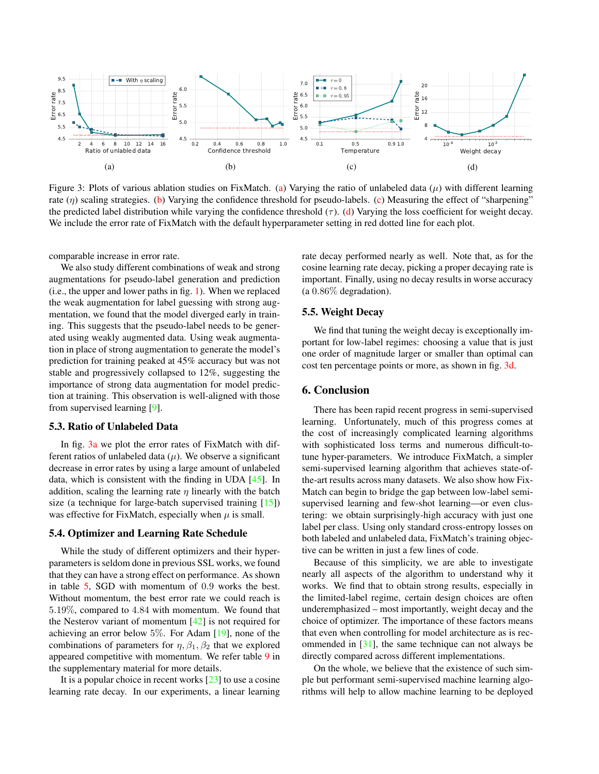<span id="page-7-2"></span><span id="page-7-1"></span>

Figure 3: Plots of various ablation studies on FixMatch. [\(a\)](#page-7-1) Varying the ratio of unlabeled data  $(\mu)$  with different learning rate  $(\eta)$  scaling strategies. [\(b\)](#page-7-1) Varying the confidence threshold for pseudo-labels. [\(c\)](#page-7-1) Measuring the effect of "sharpening" the predicted label distribution while varying the confidence threshold  $(\tau)$ . [\(d\)](#page-7-1) Varying the loss coefficient for weight decay. We include the error rate of FixMatch with the default hyperparameter setting in red dotted line for each plot.

comparable increase in error rate.

We also study different combinations of weak and strong augmentations for pseudo-label generation and prediction (i.e., the upper and lower paths in fig. [1\)](#page-1-0). When we replaced the weak augmentation for label guessing with strong augmentation, we found that the model diverged early in training. This suggests that the pseudo-label needs to be generated using weakly augmented data. Using weak augmentation in place of strong augmentation to generate the model's prediction for training peaked at 45% accuracy but was not stable and progressively collapsed to 12%, suggesting the importance of strong data augmentation for model prediction at training. This observation is well-aligned with those from supervised learning [\[9\]](#page-8-12).

#### <span id="page-7-3"></span>5.3. Ratio of Unlabeled Data

In fig. [3a](#page-7-1) we plot the error rates of FixMatch with different ratios of unlabeled data  $(\mu)$ . We observe a significant decrease in error rates by using a large amount of unlabeled data, which is consistent with the finding in UDA [\[45\]](#page-9-6). In addition, scaling the learning rate  $\eta$  linearly with the batch size (a technique for large-batch supervised training  $[15]$ ) was effective for FixMatch, especially when  $\mu$  is small.

#### <span id="page-7-4"></span>5.4. Optimizer and Learning Rate Schedule

While the study of different optimizers and their hyperparameters is seldom done in previous SSL works, we found that they can have a strong effect on performance. As shown in table [5,](#page-6-3) SGD with momentum of 0.9 works the best. Without momentum, the best error rate we could reach is 5.19%, compared to 4.84 with momentum. We found that the Nesterov variant of momentum  $[42]$  is not required for achieving an error below 5%. For Adam [\[19\]](#page-8-13), none of the combinations of parameters for  $\eta$ ,  $\beta_1$ ,  $\beta_2$  that we explored appeared competitive with momentum. We refer table [9](#page-10-1) in the supplementary material for more details.

It is a popular choice in recent works [\[23\]](#page-8-14) to use a cosine learning rate decay. In our experiments, a linear learning rate decay performed nearly as well. Note that, as for the cosine learning rate decay, picking a proper decaying rate is important. Finally, using no decay results in worse accuracy (a 0.86% degradation).

# <span id="page-7-5"></span>5.5. Weight Decay

We find that tuning the weight decay is exceptionally important for low-label regimes: choosing a value that is just one order of magnitude larger or smaller than optimal can cost ten percentage points or more, as shown in fig. [3d.](#page-7-1)

# <span id="page-7-0"></span>6. Conclusion

There has been rapid recent progress in semi-supervised learning. Unfortunately, much of this progress comes at the cost of increasingly complicated learning algorithms with sophisticated loss terms and numerous difficult-totune hyper-parameters. We introduce FixMatch, a simpler semi-supervised learning algorithm that achieves state-ofthe-art results across many datasets. We also show how Fix-Match can begin to bridge the gap between low-label semisupervised learning and few-shot learning—or even clustering: we obtain surprisingly-high accuracy with just one label per class. Using only standard cross-entropy losses on both labeled and unlabeled data, FixMatch's training objective can be written in just a few lines of code.

Because of this simplicity, we are able to investigate nearly all aspects of the algorithm to understand why it works. We find that to obtain strong results, especially in the limited-label regime, certain design choices are often underemphasized – most importantly, weight decay and the choice of optimizer. The importance of these factors means that even when controlling for model architecture as is recommended in [\[31\]](#page-9-10), the same technique can not always be directly compared across different implementations.

On the whole, we believe that the existence of such simple but performant semi-supervised machine learning algorithms will help to allow machine learning to be deployed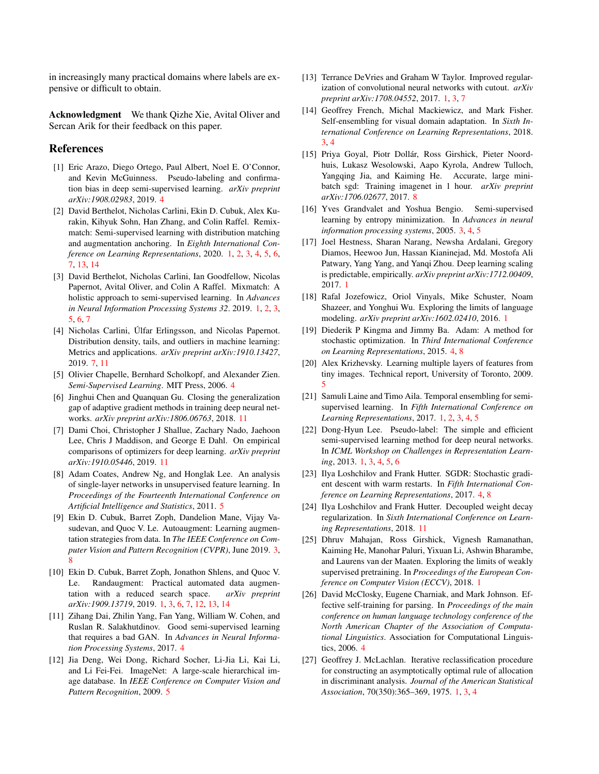in increasingly many practical domains where labels are expensive or difficult to obtain.

Acknowledgment We thank Qizhe Xie, Avital Oliver and Sercan Arik for their feedback on this paper.

#### References

- <span id="page-8-17"></span>[1] Eric Arazo, Diego Ortego, Paul Albert, Noel E. O'Connor, and Kevin McGuinness. Pseudo-labeling and confirmation bias in deep semi-supervised learning. *arXiv preprint arXiv:1908.02983*, 2019. [4](#page-3-1)
- <span id="page-8-5"></span>[2] David Berthelot, Nicholas Carlini, Ekin D. Cubuk, Alex Kurakin, Kihyuk Sohn, Han Zhang, and Colin Raffel. Remixmatch: Semi-supervised learning with distribution matching and augmentation anchoring. In *Eighth International Conference on Learning Representations*, 2020. [1,](#page-0-0) [2,](#page-1-3) [3,](#page-2-6) [4,](#page-3-1) [5,](#page-4-3) [6,](#page-5-3) [7,](#page-6-4) [13,](#page-12-0) [14](#page-13-0)
- <span id="page-8-4"></span>[3] David Berthelot, Nicholas Carlini, Ian Goodfellow, Nicolas Papernot, Avital Oliver, and Colin A Raffel. Mixmatch: A holistic approach to semi-supervised learning. In *Advances in Neural Information Processing Systems 32*. 2019. [1,](#page-0-0) [2,](#page-1-3) [3,](#page-2-6) [5,](#page-4-3) [6,](#page-5-3) [7](#page-6-4)
- <span id="page-8-22"></span>[4] Nicholas Carlini, Úlfar Erlingsson, and Nicolas Papernot. Distribution density, tails, and outliers in machine learning: Metrics and applications. *arXiv preprint arXiv:1910.13427*, 2019. [7,](#page-6-4) [11](#page-10-2)
- <span id="page-8-15"></span>[5] Olivier Chapelle, Bernhard Scholkopf, and Alexander Zien. *Semi-Supervised Learning*. MIT Press, 2006. [4](#page-3-1)
- <span id="page-8-25"></span>[6] Jinghui Chen and Quanquan Gu. Closing the generalization gap of adaptive gradient methods in training deep neural networks. *arXiv preprint arXiv:1806.06763*, 2018. [11](#page-10-2)
- <span id="page-8-26"></span>[7] Dami Choi, Christopher J Shallue, Zachary Nado, Jaehoon Lee, Chris J Maddison, and George E Dahl. On empirical comparisons of optimizers for deep learning. *arXiv preprint arXiv:1910.05446*, 2019. [11](#page-10-2)
- <span id="page-8-20"></span>[8] Adam Coates, Andrew Ng, and Honglak Lee. An analysis of single-layer networks in unsupervised feature learning. In *Proceedings of the Fourteenth International Conference on Artificial Intelligence and Statistics*, 2011. [5](#page-4-3)
- <span id="page-8-12"></span>[9] Ekin D. Cubuk, Barret Zoph, Dandelion Mane, Vijay Vasudevan, and Quoc V. Le. Autoaugment: Learning augmentation strategies from data. In *The IEEE Conference on Computer Vision and Pattern Recognition (CVPR)*, June 2019. [3,](#page-2-6) [8](#page-7-2)
- <span id="page-8-9"></span>[10] Ekin D. Cubuk, Barret Zoph, Jonathon Shlens, and Quoc V. Le. Randaugment: Practical automated data augmentation with a reduced search space. *arXiv preprint arXiv:1909.13719*, 2019. [1,](#page-0-0) [3,](#page-2-6) [6,](#page-5-3) [7,](#page-6-4) [12,](#page-11-2) [13,](#page-12-0) [14](#page-13-0)
- <span id="page-8-18"></span>[11] Zihang Dai, Zhilin Yang, Fan Yang, William W. Cohen, and Ruslan R. Salakhutdinov. Good semi-supervised learning that requires a bad GAN. In *Advances in Neural Information Processing Systems*, 2017. [4](#page-3-1)
- <span id="page-8-21"></span>[12] Jia Deng, Wei Dong, Richard Socher, Li-Jia Li, Kai Li, and Li Fei-Fei. ImageNet: A large-scale hierarchical image database. In *IEEE Conference on Computer Vision and Pattern Recognition*, 2009. [5](#page-4-3)
- <span id="page-8-8"></span>[13] Terrance DeVries and Graham W Taylor. Improved regularization of convolutional neural networks with cutout. *arXiv preprint arXiv:1708.04552*, 2017. [1,](#page-0-0) [3,](#page-2-6) [7](#page-6-4)
- <span id="page-8-11"></span>[14] Geoffrey French, Michal Mackiewicz, and Mark Fisher. Self-ensembling for visual domain adaptation. In *Sixth International Conference on Learning Representations*, 2018. [3,](#page-2-6) [4](#page-3-1)
- <span id="page-8-23"></span>[15] Priya Goyal, Piotr Dollár, Ross Girshick, Pieter Noordhuis, Lukasz Wesolowski, Aapo Kyrola, Andrew Tulloch, Yangqing Jia, and Kaiming He. Accurate, large minibatch sgd: Training imagenet in 1 hour. *arXiv preprint arXiv:1706.02677*, 2017. [8](#page-7-2)
- <span id="page-8-10"></span>[16] Yves Grandvalet and Yoshua Bengio. Semi-supervised learning by entropy minimization. In *Advances in neural information processing systems*, 2005. [3,](#page-2-6) [4,](#page-3-1) [5](#page-4-3)
- <span id="page-8-1"></span>[17] Joel Hestness, Sharan Narang, Newsha Ardalani, Gregory Diamos, Heewoo Jun, Hassan Kianinejad, Md. Mostofa Ali Patwary, Yang Yang, and Yanqi Zhou. Deep learning scaling is predictable, empirically. *arXiv preprint arXiv:1712.00409*, 2017. [1](#page-0-0)
- <span id="page-8-2"></span>[18] Rafal Jozefowicz, Oriol Vinyals, Mike Schuster, Noam Shazeer, and Yonghui Wu. Exploring the limits of language modeling. *arXiv preprint arXiv:1602.02410*, 2016. [1](#page-0-0)
- <span id="page-8-13"></span>[19] Diederik P Kingma and Jimmy Ba. Adam: A method for stochastic optimization. In *Third International Conference on Learning Representations*, 2015. [4,](#page-3-1) [8](#page-7-2)
- <span id="page-8-19"></span>[20] Alex Krizhevsky. Learning multiple layers of features from tiny images. Technical report, University of Toronto, 2009. [5](#page-4-3)
- <span id="page-8-3"></span>[21] Samuli Laine and Timo Aila. Temporal ensembling for semisupervised learning. In *Fifth International Conference on Learning Representations*, 2017. [1,](#page-0-0) [2,](#page-1-3) [3,](#page-2-6) [4,](#page-3-1) [5](#page-4-3)
- <span id="page-8-6"></span>[22] Dong-Hyun Lee. Pseudo-label: The simple and efficient semi-supervised learning method for deep neural networks. In *ICML Workshop on Challenges in Representation Learning*, 2013. [1,](#page-0-0) [3,](#page-2-6) [4,](#page-3-1) [5,](#page-4-3) [6](#page-5-3)
- <span id="page-8-14"></span>[23] Ilya Loshchilov and Frank Hutter. SGDR: Stochastic gradient descent with warm restarts. In *Fifth International Conference on Learning Representations*, 2017. [4,](#page-3-1) [8](#page-7-2)
- <span id="page-8-24"></span>[24] Ilya Loshchilov and Frank Hutter. Decoupled weight decay regularization. In *Sixth International Conference on Learning Representations*, 2018. [11](#page-10-2)
- <span id="page-8-0"></span>[25] Dhruv Mahajan, Ross Girshick, Vignesh Ramanathan, Kaiming He, Manohar Paluri, Yixuan Li, Ashwin Bharambe, and Laurens van der Maaten. Exploring the limits of weakly supervised pretraining. In *Proceedings of the European Conference on Computer Vision (ECCV)*, 2018. [1](#page-0-0)
- <span id="page-8-16"></span>[26] David McClosky, Eugene Charniak, and Mark Johnson. Effective self-training for parsing. In *Proceedings of the main conference on human language technology conference of the North American Chapter of the Association of Computational Linguistics*. Association for Computational Linguistics, 2006. [4](#page-3-1)
- <span id="page-8-7"></span>[27] Geoffrey J. McLachlan. Iterative reclassification procedure for constructing an asymptotically optimal rule of allocation in discriminant analysis. *Journal of the American Statistical Association*, 70(350):365–369, 1975. [1,](#page-0-0) [3,](#page-2-6) [4](#page-3-1)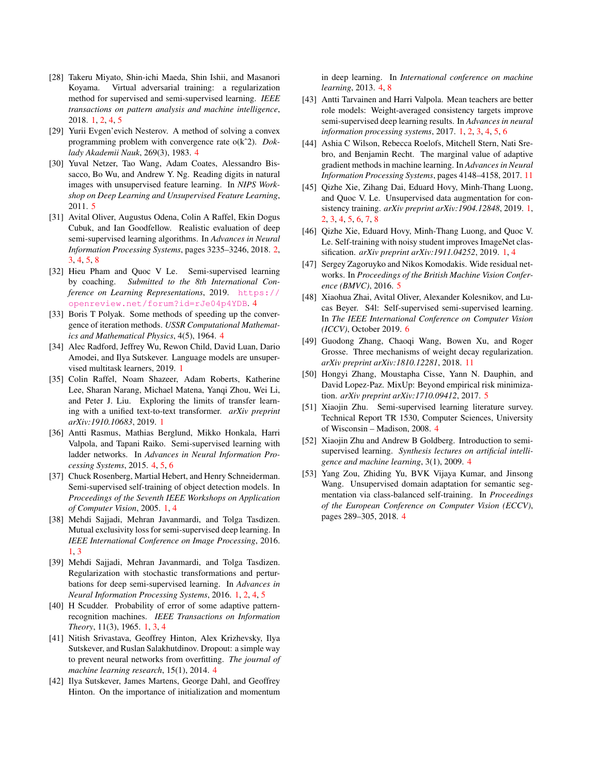- <span id="page-9-3"></span>[28] Takeru Miyato, Shin-ichi Maeda, Shin Ishii, and Masanori Koyama. Virtual adversarial training: a regularization method for supervised and semi-supervised learning. *IEEE transactions on pattern analysis and machine intelligence*, 2018. [1,](#page-0-0) [2,](#page-1-3) [4,](#page-3-1) [5](#page-4-3)
- <span id="page-9-13"></span>[29] Yurii Evgen'evich Nesterov. A method of solving a convex programming problem with convergence rate o(kˆ2). *Doklady Akademii Nauk*, 269(3), 1983. [4](#page-3-1)
- <span id="page-9-21"></span>[30] Yuval Netzer, Tao Wang, Adam Coates, Alessandro Bissacco, Bo Wu, and Andrew Y. Ng. Reading digits in natural images with unsupervised feature learning. In *NIPS Workshop on Deep Learning and Unsupervised Feature Learning*, 2011. [5](#page-4-3)
- <span id="page-9-10"></span>[31] Avital Oliver, Augustus Odena, Colin A Raffel, Ekin Dogus Cubuk, and Ian Goodfellow. Realistic evaluation of deep semi-supervised learning algorithms. In *Advances in Neural Information Processing Systems*, pages 3235–3246, 2018. [2,](#page-1-3) [3,](#page-2-6) [4,](#page-3-1) [5,](#page-4-3) [8](#page-7-2)
- <span id="page-9-17"></span>[32] Hieu Pham and Quoc V Le. Semi-supervised learning by coaching. *Submitted to the 8th International Conference on Learning Representations*, 2019. [https://](https://openreview.net/forum?id=rJe04p4YDB) [openreview.net/forum?id=rJe04p4YDB](https://openreview.net/forum?id=rJe04p4YDB). [4](#page-3-1)
- <span id="page-9-12"></span>[33] Boris T Polyak. Some methods of speeding up the convergence of iteration methods. *USSR Computational Mathematics and Mathematical Physics*, 4(5), 1964. [4](#page-3-1)
- <span id="page-9-2"></span>[34] Alec Radford, Jeffrey Wu, Rewon Child, David Luan, Dario Amodei, and Ilya Sutskever. Language models are unsupervised multitask learners, 2019. [1](#page-0-0)
- <span id="page-9-0"></span>[35] Colin Raffel, Noam Shazeer, Adam Roberts, Katherine Lee, Sharan Narang, Michael Matena, Yanqi Zhou, Wei Li, and Peter J. Liu. Exploring the limits of transfer learning with a unified text-to-text transformer. *arXiv preprint arXiv:1910.10683*, 2019. [1](#page-0-0)
- <span id="page-9-18"></span>[36] Antti Rasmus, Mathias Berglund, Mikko Honkala, Harri Valpola, and Tapani Raiko. Semi-supervised learning with ladder networks. In *Advances in Neural Information Processing Systems*, 2015. [4,](#page-3-1) [5,](#page-4-3) [6](#page-5-3)
- <span id="page-9-8"></span>[37] Chuck Rosenberg, Martial Hebert, and Henry Schneiderman. Semi-supervised self-training of object detection models. In *Proceedings of the Seventh IEEE Workshops on Application of Computer Vision*, 2005. [1,](#page-0-0) [4](#page-3-1)
- <span id="page-9-7"></span>[38] Mehdi Sajjadi, Mehran Javanmardi, and Tolga Tasdizen. Mutual exclusivity loss for semi-supervised deep learning. In *IEEE International Conference on Image Processing*, 2016. [1,](#page-0-0) [3](#page-2-6)
- <span id="page-9-4"></span>[39] Mehdi Sajjadi, Mehran Javanmardi, and Tolga Tasdizen. Regularization with stochastic transformations and perturbations for deep semi-supervised learning. In *Advances in Neural Information Processing Systems*, 2016. [1,](#page-0-0) [2,](#page-1-3) [4,](#page-3-1) [5](#page-4-3)
- <span id="page-9-9"></span>[40] H Scudder. Probability of error of some adaptive patternrecognition machines. *IEEE Transactions on Information Theory*, 11(3), 1965. [1,](#page-0-0) [3,](#page-2-6) [4](#page-3-1)
- <span id="page-9-19"></span>[41] Nitish Srivastava, Geoffrey Hinton, Alex Krizhevsky, Ilya Sutskever, and Ruslan Salakhutdinov. Dropout: a simple way to prevent neural networks from overfitting. *The journal of machine learning research*, 15(1), 2014. [4](#page-3-1)
- <span id="page-9-11"></span>[42] Ilya Sutskever, James Martens, George Dahl, and Geoffrey Hinton. On the importance of initialization and momentum

in deep learning. In *International conference on machine learning*, 2013. [4,](#page-3-1) [8](#page-7-2)

- <span id="page-9-5"></span>[43] Antti Tarvainen and Harri Valpola. Mean teachers are better role models: Weight-averaged consistency targets improve semi-supervised deep learning results. In *Advances in neural information processing systems*, 2017. [1,](#page-0-0) [2,](#page-1-3) [3,](#page-2-6) [4,](#page-3-1) [5,](#page-4-3) [6](#page-5-3)
- <span id="page-9-24"></span>[44] Ashia C Wilson, Rebecca Roelofs, Mitchell Stern, Nati Srebro, and Benjamin Recht. The marginal value of adaptive gradient methods in machine learning. In *Advances in Neural Information Processing Systems*, pages 4148–4158, 2017. [11](#page-10-2)
- <span id="page-9-6"></span>[45] Qizhe Xie, Zihang Dai, Eduard Hovy, Minh-Thang Luong, and Quoc V. Le. Unsupervised data augmentation for consistency training. *arXiv preprint arXiv:1904.12848*, 2019. [1,](#page-0-0) [2,](#page-1-3) [3,](#page-2-6) [4,](#page-3-1) [5,](#page-4-3) [6,](#page-5-3) [7,](#page-6-4) [8](#page-7-2)
- <span id="page-9-1"></span>[46] Qizhe Xie, Eduard Hovy, Minh-Thang Luong, and Quoc V. Le. Self-training with noisy student improves ImageNet classification. *arXiv preprint arXiv:1911.04252*, 2019. [1,](#page-0-0) [4](#page-3-1)
- <span id="page-9-22"></span>[47] Sergey Zagoruyko and Nikos Komodakis. Wide residual networks. In *Proceedings of the British Machine Vision Conference (BMVC)*, 2016. [5](#page-4-3)
- <span id="page-9-23"></span>[48] Xiaohua Zhai, Avital Oliver, Alexander Kolesnikov, and Lucas Beyer. S4l: Self-supervised semi-supervised learning. In *The IEEE International Conference on Computer Vision (ICCV)*, October 2019. [6](#page-5-3)
- <span id="page-9-25"></span>[49] Guodong Zhang, Chaoqi Wang, Bowen Xu, and Roger Grosse. Three mechanisms of weight decay regularization. *arXiv preprint arXiv:1810.12281*, 2018. [11](#page-10-2)
- <span id="page-9-20"></span>[50] Hongyi Zhang, Moustapha Cisse, Yann N. Dauphin, and David Lopez-Paz. MixUp: Beyond empirical risk minimization. *arXiv preprint arXiv:1710.09412*, 2017. [5](#page-4-3)
- <span id="page-9-14"></span>[51] Xiaojin Zhu. Semi-supervised learning literature survey. Technical Report TR 1530, Computer Sciences, University of Wisconsin – Madison, 2008. [4](#page-3-1)
- <span id="page-9-15"></span>[52] Xiaojin Zhu and Andrew B Goldberg. Introduction to semisupervised learning. *Synthesis lectures on artificial intelligence and machine learning*, 3(1), 2009. [4](#page-3-1)
- <span id="page-9-16"></span>[53] Yang Zou, Zhiding Yu, BVK Vijaya Kumar, and Jinsong Wang. Unsupervised domain adaptation for semantic segmentation via class-balanced self-training. In *Proceedings of the European Conference on Computer Vision (ECCV)*, pages 289–305, 2018. [4](#page-3-1)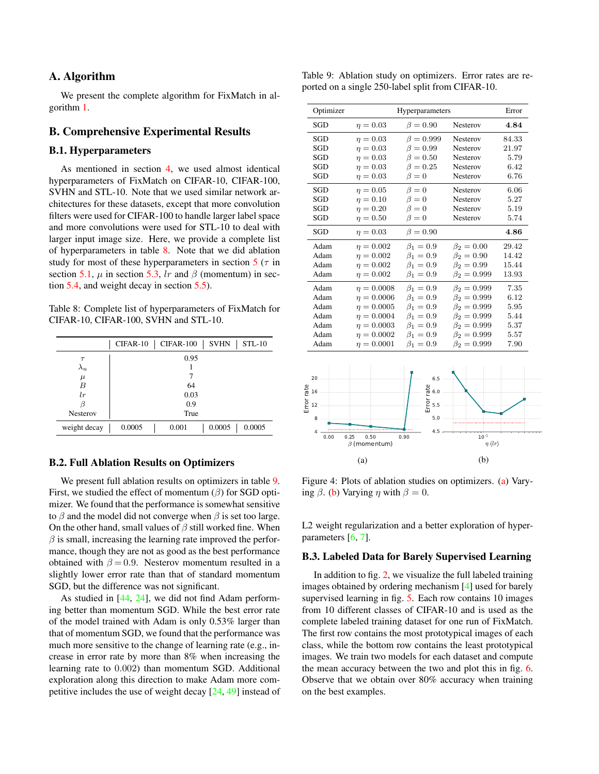# <span id="page-10-2"></span>A. Algorithm

We present the complete algorithm for FixMatch in algorithm [1.](#page-11-0)

# B. Comprehensive Experimental Results

# B.1. Hyperparameters

As mentioned in section [4,](#page-4-0) we used almost identical hyperparameters of FixMatch on CIFAR-10, CIFAR-100, SVHN and STL-10. Note that we used similar network architectures for these datasets, except that more convolution filters were used for CIFAR-100 to handle larger label space and more convolutions were used for STL-10 to deal with larger input image size. Here, we provide a complete list of hyperparameters in table [8.](#page-10-3) Note that we did ablation study for most of these hyperparameters in section  $5(\tau)$  $5(\tau)$  in section [5.1,](#page-6-5)  $\mu$  in section [5.3,](#page-7-3) lr and  $\beta$  (momentum) in section [5.4,](#page-7-4) and weight decay in section [5.5\)](#page-7-5).

<span id="page-10-3"></span>Table 8: Complete list of hyperparameters of FixMatch for CIFAR-10, CIFAR-100, SVHN and STL-10.

|                 | <b>SVHN</b><br><b>CIFAR-100</b><br>CIFAR-10<br>$STL-10$ |
|-----------------|---------------------------------------------------------|
| $\tau$          | 0.95                                                    |
| $\lambda_u$     |                                                         |
| $\mu$           |                                                         |
| B               | 64                                                      |
| lr              | 0.03                                                    |
|                 | 0.9                                                     |
| <b>Nesterov</b> | True                                                    |
| weight decay    | 0.0005<br>0.0005<br>0.001<br>0.0005                     |

# B.2. Full Ablation Results on Optimizers

We present full ablation results on optimizers in table [9.](#page-10-1) First, we studied the effect of momentum  $(\beta)$  for SGD optimizer. We found that the performance is somewhat sensitive to  $\beta$  and the model did not converge when  $\beta$  is set too large. On the other hand, small values of  $\beta$  still worked fine. When  $\beta$  is small, increasing the learning rate improved the performance, though they are not as good as the best performance obtained with  $\beta = 0.9$ . Nesterov momentum resulted in a slightly lower error rate than that of standard momentum SGD, but the difference was not significant.

As studied in [\[44,](#page-9-24) [24\]](#page-8-24), we did not find Adam performing better than momentum SGD. While the best error rate of the model trained with Adam is only 0.53% larger than that of momentum SGD, we found that the performance was much more sensitive to the change of learning rate (e.g., increase in error rate by more than 8% when increasing the learning rate to 0.002) than momentum SGD. Additional exploration along this direction to make Adam more competitive includes the use of weight decay [\[24,](#page-8-24) [49\]](#page-9-25) instead of

<span id="page-10-1"></span>Table 9: Ablation study on optimizers. Error rates are reported on a single 250-label split from CIFAR-10.

| Optimizer |                 | Hyperparameters |                   | Error |
|-----------|-----------------|-----------------|-------------------|-------|
| SGD       | $n = 0.03$      | $\beta = 0.90$  | <b>Nesterov</b>   | 4.84  |
| SGD       | $n = 0.03$      | $\beta = 0.999$ | <b>Nesterov</b>   | 84.33 |
| SGD       | $n = 0.03$      | $\beta = 0.99$  | Nesterov          | 21.97 |
| SGD       | $\eta = 0.03$   | $\beta = 0.50$  | Nesterov          | 5.79  |
| SGD       | $n = 0.03$      | $\beta = 0.25$  | <b>Nesterov</b>   | 6.42  |
| SGD       | $n = 0.03$      | $\beta = 0$     | <b>Nesterov</b>   | 6.76  |
| SGD       | $n = 0.05$      | $\beta = 0$     | Nesterov          | 6.06  |
| SGD       | $\eta = 0.10$   | $\beta = 0$     | <b>Nesterov</b>   | 5.27  |
| SGD       | $n = 0.20$      | $\beta = 0$     | Nesterov          | 5.19  |
| SGD       | $n = 0.50$      | $\beta = 0$     | Nesterov          | 5.74  |
| SGD       | $n = 0.03$      | $\beta = 0.90$  |                   | 4.86  |
| Adam      | $\eta = 0.002$  | $\beta_1 = 0.9$ | $\beta_2 = 0.00$  | 29.42 |
| Adam      | $\eta = 0.002$  | $\beta_1 = 0.9$ | $\beta_2 = 0.90$  | 14.42 |
| Adam      | $n = 0.002$     | $\beta_1 = 0.9$ | $\beta_2 = 0.99$  | 15.44 |
| Adam      | $\eta = 0.002$  | $\beta_1 = 0.9$ | $\beta_2 = 0.999$ | 13.93 |
| Adam      | $\eta = 0.0008$ | $\beta_1 = 0.9$ | $\beta_2 = 0.999$ | 7.35  |
| Adam      | $n = 0.0006$    | $\beta_1 = 0.9$ | $\beta_2 = 0.999$ | 6.12  |
| Adam      | $\eta = 0.0005$ | $\beta_1 = 0.9$ | $\beta_2 = 0.999$ | 5.95  |
| Adam      | $n = 0.0004$    | $\beta_1 = 0.9$ | $\beta_2 = 0.999$ | 5.44  |
| Adam      | $\eta = 0.0003$ | $\beta_1 = 0.9$ | $\beta_2 = 0.999$ | 5.37  |
| Adam      | $n = 0.0002$    | $\beta_1 = 0.9$ | $\beta_2 = 0.999$ | 5.57  |
| Adam      | $\eta = 0.0001$ | $\beta_1 = 0.9$ | $\beta_2 = 0.999$ | 7.90  |
|           |                 |                 |                   |       |
| 20        |                 | 6.5             |                   |       |

<span id="page-10-4"></span>

Figure 4: Plots of ablation studies on optimizers. [\(a\)](#page-10-4) Varying  $\beta$ . [\(b\)](#page-10-4) Varying  $\eta$  with  $\beta = 0$ .

L2 weight regularization and a better exploration of hyper-parameters [\[6,](#page-8-25) [7\]](#page-8-26).

#### <span id="page-10-0"></span>B.3. Labeled Data for Barely Supervised Learning

In addition to fig. [2,](#page-6-1) we visualize the full labeled training images obtained by ordering mechanism [\[4\]](#page-8-22) used for barely supervised learning in fig. [5.](#page-11-3) Each row contains 10 images from 10 different classes of CIFAR-10 and is used as the complete labeled training dataset for one run of FixMatch. The first row contains the most prototypical images of each class, while the bottom row contains the least prototypical images. We train two models for each dataset and compute the mean accuracy between the two and plot this in fig. [6.](#page-11-4) Observe that we obtain over 80% accuracy when training on the best examples.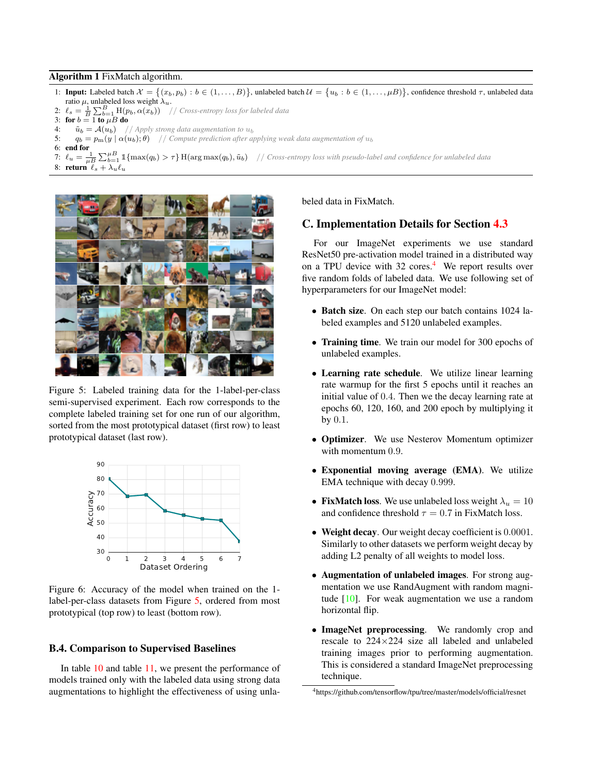#### <span id="page-11-2"></span><span id="page-11-0"></span>Algorithm 1 FixMatch algorithm.

- 1: Input: Labeled batch  $\mathcal{X} = \{(x_b, p_b) : b \in (1, ..., B)\}$ , unlabeled batch  $\mathcal{U} = \{u_b : b \in (1, ..., \mu B)\}$ , confidence threshold  $\tau$ , unlabeled data ratio  $\mu$ , unlabeled loss weight  $\lambda_u$ .
- 2:  $\ell_s = \frac{1}{B} \sum_{b=1}^{B} \text{H}(p_b, \alpha(x_b))$  // *Cross-entropy loss for labeled data*
- 3: for  $b = 1$  to  $\mu B$  do
- 4:  $\tilde{u}_b = A(u_b)$  // *Apply strong data augmentation to*  $u_b$ <br>5:  $a_t = n_m(u) \alpha(u_b) \theta$  // *Compute prediction after an*
- $q_b = p_m(y \mid \alpha(u_b), \theta)$  // *Compute prediction after applying weak data augmentation of*  $u_b$
- 6: end for
- 7:  $\ell_u = \frac{1}{\mu B} \sum_{b=1}^{\mu B} \mathbb{1}\{\max(q_b) > \tau\}$  H( $\argmax(q_b), \tilde{u}_b$ ) // *Cross-entropy loss with pseudo-label and confidence for unlabeled data* 8: return  $\ell_s + \lambda_u \ell_u$

<span id="page-11-3"></span>

Figure 5: Labeled training data for the 1-label-per-class semi-supervised experiment. Each row corresponds to the complete labeled training set for one run of our algorithm, sorted from the most prototypical dataset (first row) to least prototypical dataset (last row).

<span id="page-11-4"></span>

Figure 6: Accuracy of the model when trained on the 1 label-per-class datasets from Figure [5,](#page-11-3) ordered from most prototypical (top row) to least (bottom row).

#### B.4. Comparison to Supervised Baselines

In table [10](#page-12-1) and table [11,](#page-12-2) we present the performance of models trained only with the labeled data using strong data augmentations to highlight the effectiveness of using unlabeled data in FixMatch.

# <span id="page-11-1"></span>C. Implementation Details for Section [4.3](#page-5-4)

For our ImageNet experiments we use standard ResNet50 pre-activation model trained in a distributed way on a TPU device with  $32 \text{ cores.}^4$  $32 \text{ cores.}^4$  We report results over five random folds of labeled data. We use following set of hyperparameters for our ImageNet model:

- Batch size. On each step our batch contains 1024 labeled examples and 5120 unlabeled examples.
- Training time. We train our model for 300 epochs of unlabeled examples.
- Learning rate schedule. We utilize linear learning rate warmup for the first 5 epochs until it reaches an initial value of 0.4. Then we the decay learning rate at epochs 60, 120, 160, and 200 epoch by multiplying it by 0.1.
- Optimizer. We use Nesterov Momentum optimizer with momentum 0.9.
- Exponential moving average (EMA). We utilize EMA technique with decay 0.999.
- FixMatch loss. We use unlabeled loss weight  $\lambda_u = 10$ and confidence threshold  $\tau = 0.7$  in FixMatch loss.
- Weight decay. Our weight decay coefficient is 0.0001. Similarly to other datasets we perform weight decay by adding L2 penalty of all weights to model loss.
- Augmentation of unlabeled images. For strong augmentation we use RandAugment with random magnitude  $[10]$ . For weak augmentation we use a random horizontal flip.
- ImageNet preprocessing. We randomly crop and rescale to 224×224 size all labeled and unlabeled training images prior to performing augmentation. This is considered a standard ImageNet preprocessing technique.

<span id="page-11-5"></span><sup>4</sup>https://github.com/tensorflow/tpu/tree/master/models/official/resnet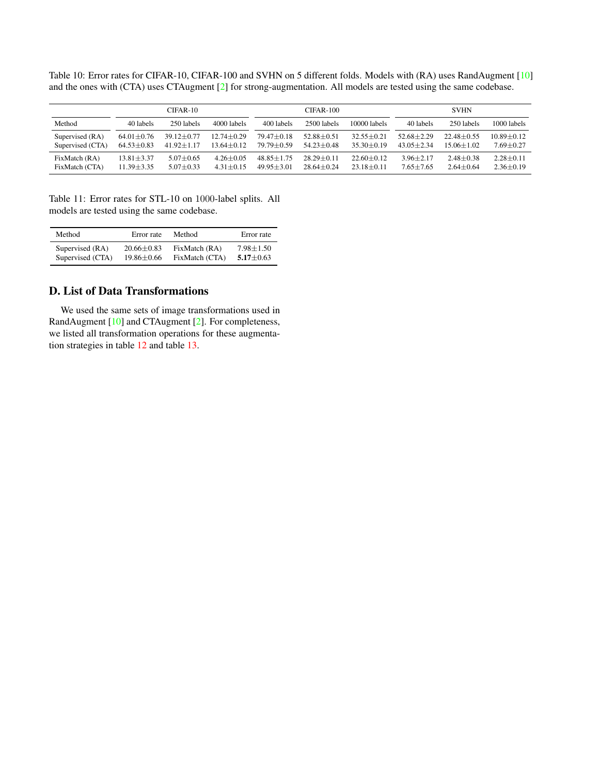<span id="page-12-1"></span><span id="page-12-0"></span>Table 10: Error rates for CIFAR-10, CIFAR-100 and SVHN on 5 different folds. Models with (RA) uses RandAugment [\[10\]](#page-8-9) and the ones with (CTA) uses CTAugment [\[2\]](#page-8-5) for strong-augmentation. All models are tested using the same codebase.

|                  | $CIFAR-10$       |                  |                  | $CIFAR-100$    |                  |                  | <b>SVHN</b>    |                 |                 |
|------------------|------------------|------------------|------------------|----------------|------------------|------------------|----------------|-----------------|-----------------|
| Method           | 40 labels        | 250 labels       | 4000 labels      | 400 labels     | 2500 labels      | $10000$ labels   | 40 labels      | 250 labels      | 1000 labels     |
| Supervised (RA)  | $64.01 \pm 0.76$ | $39.12 + 0.77$   | $12.74 + 0.29$   | $79.47 + 0.18$ | $52.88 + 0.51$   | $32.55 + 0.21$   | $52.68 + 2.29$ | $22.48 + 0.55$  | $10.89 + 0.12$  |
| Supervised (CTA) | $64.53 \pm 0.83$ | $41.92 \pm 1.17$ | $13.64 \pm 0.12$ | $79.79 + 0.59$ | $54.23 \pm 0.48$ | $35.30 + 0.19$   | $43.05 + 2.34$ | $15.06 + 1.02$  | $7.69 + 0.27$   |
| FixMatch (RA)    | $13.81 \pm 3.37$ | $5.07 \pm 0.65$  | $4.26 + 0.05$    | $48.85 + 1.75$ | $28.29 \pm 0.11$ | $22.60 \pm 0.12$ | $3.96 + 2.17$  | $2.48 \pm 0.38$ | $2.28 \pm 0.11$ |
| FixMatch (CTA)   | $11.39 \pm 3.35$ | $5.07 \pm 0.33$  | $431 + 015$      | $4995+301$     | $28.64 + 0.24$   | $23.18 + 0.11$   | $7.65 + 7.65$  | $2.64 \pm 0.64$ | $2.36 \pm 0.19$ |

<span id="page-12-2"></span>Table 11: Error rates for STL-10 on 1000-label splits. All models are tested using the same codebase.

| Method           | Error rate       | Method         | Error rate      |
|------------------|------------------|----------------|-----------------|
| Supervised (RA)  | $20.66 \pm 0.83$ | FixMatch (RA)  | $7.98 \pm 1.50$ |
| Supervised (CTA) | $19.86 \pm 0.66$ | FixMatch (CTA) | $5.17 \pm 0.63$ |

# D. List of Data Transformations

We used the same sets of image transformations used in RandAugment [\[10\]](#page-8-9) and CTAugment [\[2\]](#page-8-5). For completeness, we listed all transformation operations for these augmentation strategies in table [12](#page-13-1) and table [13.](#page-13-2)